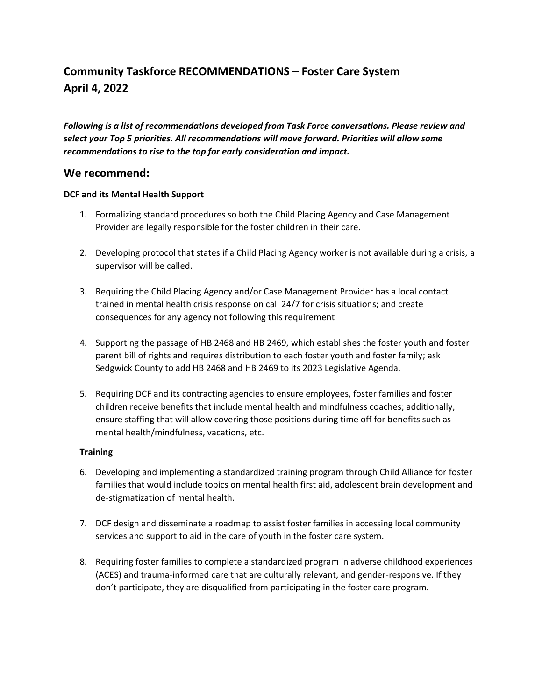# **Community Taskforce RECOMMENDATIONS – Foster Care System April 4, 2022**

*Following is a list of recommendations developed from Task Force conversations. Please review and select your Top 5 priorities. All recommendations will move forward. Priorities will allow some recommendations to rise to the top for early consideration and impact.* 

# **We recommend:**

## **DCF and its Mental Health Support**

- 1. Formalizing standard procedures so both the Child Placing Agency and Case Management Provider are legally responsible for the foster children in their care.
- 2. Developing protocol that states if a Child Placing Agency worker is not available during a crisis, a supervisor will be called.
- 3. Requiring the Child Placing Agency and/or Case Management Provider has a local contact trained in mental health crisis response on call 24/7 for crisis situations; and create consequences for any agency not following this requirement
- 4. Supporting the passage of HB 2468 and HB 2469, which establishes the foster youth and foster parent bill of rights and requires distribution to each foster youth and foster family; ask Sedgwick County to add HB 2468 and HB 2469 to its 2023 Legislative Agenda.
- 5. Requiring DCF and its contracting agencies to ensure employees, foster families and foster children receive benefits that include mental health and mindfulness coaches; additionally, ensure staffing that will allow covering those positions during time off for benefits such as mental health/mindfulness, vacations, etc.

### **Training**

- 6. Developing and implementing a standardized training program through Child Alliance for foster families that would include topics on mental health first aid, adolescent brain development and de-stigmatization of mental health.
- 7. DCF design and disseminate a roadmap to assist foster families in accessing local community services and support to aid in the care of youth in the foster care system.
- 8. Requiring foster families to complete a standardized program in adverse childhood experiences (ACES) and trauma-informed care that are culturally relevant, and gender-responsive. If they don't participate, they are disqualified from participating in the foster care program.